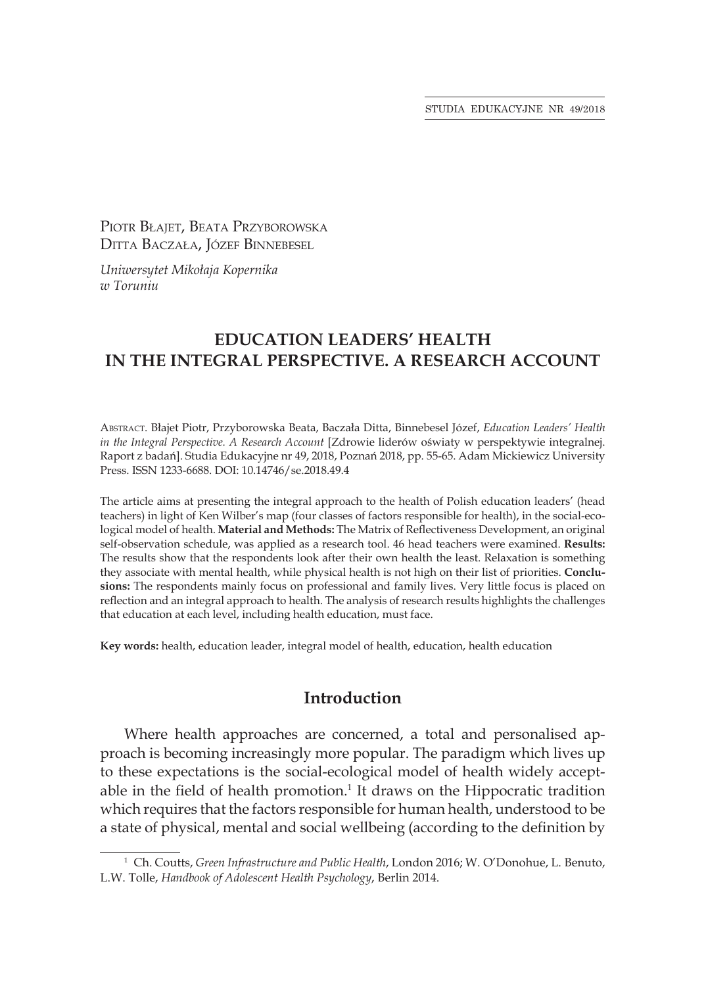STUDIA EDUKACYJNE NR 49/2018

PIOTR BŁAIET, BEATA PRZYBOROWSKA Ditta Baczała, Józef Binnebesel

*Uniwersytet Mikołaja Kopernika w Toruniu*

# **EDUCATION LEADERS' HEALTH IN THE INTEGRAL PERSPECTIVE. A RESEARCH ACCOUNT**

Abstract. Błajet Piotr, Przyborowska Beata, Baczała Ditta, Binnebesel Józef, *Education Leaders' Health in the Integral Perspective. A Research Account* [Zdrowie liderów oświaty w perspektywie integralnej. Raport z badań]. Studia Edukacyjne nr 49, 2018, Poznań 2018, pp. 55-65. Adam Mickiewicz University Press. ISSN 1233-6688. DOI: 10.14746/se.2018.49.4

The article aims at presenting the integral approach to the health of Polish education leaders' (head teachers) in light of Ken Wilber's map (four classes of factors responsible for health), in the social-ecological model of health. **Material and Methods:** The Matrix of Reflectiveness Development, an original self-observation schedule, was applied as a research tool. 46 head teachers were examined. **Results:** The results show that the respondents look after their own health the least. Relaxation is something they associate with mental health, while physical health is not high on their list of priorities. **Conclusions:** The respondents mainly focus on professional and family lives. Very little focus is placed on reflection and an integral approach to health. The analysis of research results highlights the challenges that education at each level, including health education, must face.

**Key words:** health, education leader, integral model of health, education, health education

# **Introduction**

Where health approaches are concerned, a total and personalised approach is becoming increasingly more popular. The paradigm which lives up to these expectations is the social-ecological model of health widely acceptable in the field of health promotion.<sup>1</sup> It draws on the Hippocratic tradition which requires that the factors responsible for human health, understood to be a state of physical, mental and social wellbeing (according to the definition by

<sup>1</sup> Ch. Coutts, *Green Infrastructure and Public Health*, London 2016; W. O'Donohue, L. Benuto, L.W. Tolle, *Handbook of Adolescent Health Psychology*, Berlin 2014.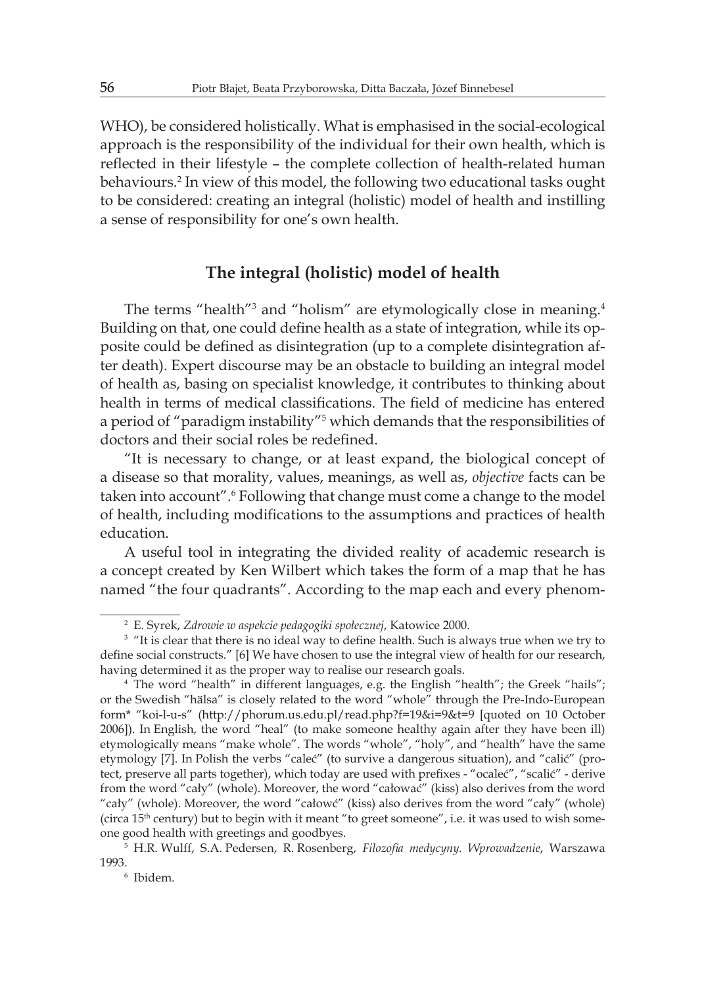WHO), be considered holistically. What is emphasised in the social-ecological approach is the responsibility of the individual for their own health, which is reflected in their lifestyle – the complete collection of health-related human behaviours.<sup>2</sup> In view of this model, the following two educational tasks ought to be considered: creating an integral (holistic) model of health and instilling a sense of responsibility for one's own health.

## **The integral (holistic) model of health**

The terms "health"<sup>3</sup> and "holism" are etymologically close in meaning.<sup>4</sup> Building on that, one could define health as a state of integration, while its opposite could be defined as disintegration (up to a complete disintegration after death). Expert discourse may be an obstacle to building an integral model of health as, basing on specialist knowledge, it contributes to thinking about health in terms of medical classifications. The field of medicine has entered a period of "paradigm instability"<sup>5</sup> which demands that the responsibilities of doctors and their social roles be redefined.

"It is necessary to change, or at least expand, the biological concept of a disease so that morality, values, meanings, as well as, *objective* facts can be taken into account".6 Following that change must come a change to the model of health, including modifications to the assumptions and practices of health education.

A useful tool in integrating the divided reality of academic research is a concept created by Ken Wilbert which takes the form of a map that he has named "the four quadrants". According to the map each and every phenom-

<sup>2</sup> E. Syrek, *Zdrowie w aspekcie pedagogiki społecznej*, Katowice 2000.

<sup>&</sup>lt;sup>3</sup> "It is clear that there is no ideal way to define health. Such is always true when we try to define social constructs." [6] We have chosen to use the integral view of health for our research, having determined it as the proper way to realise our research goals.

<sup>4</sup> The word "health" in different languages, e.g. the English "health"; the Greek "hails"; or the Swedish "hälsa" is closely related to the word "whole" through the Pre-Indo-European form\* "koi-l-u-s" (http://phorum.us.edu.pl/read.php?f=19&i=9&t=9 [quoted on 10 October 2006]). In English, the word "heal" (to make someone healthy again after they have been ill) etymologically means "make whole". The words "whole", "holy", and "health" have the same etymology [7]. In Polish the verbs "caleć" (to survive a dangerous situation), and "calić" (protect, preserve all parts together), which today are used with prefixes - "ocaleć", "scalić" - derive from the word "cały" (whole). Moreover, the word "całować" (kiss) also derives from the word "cały" (whole). Moreover, the word "całowć" (kiss) also derives from the word "cały" (whole) (circa  $15<sup>th</sup>$  century) but to begin with it meant "to greet someone", i.e. it was used to wish someone good health with greetings and goodbyes.

<sup>5</sup> H.R. Wulff, S.A. Pedersen, R. Rosenberg, *Filozofia medycyny. Wprowadzenie*, Warszawa 1993.

<sup>6</sup> Ibidem.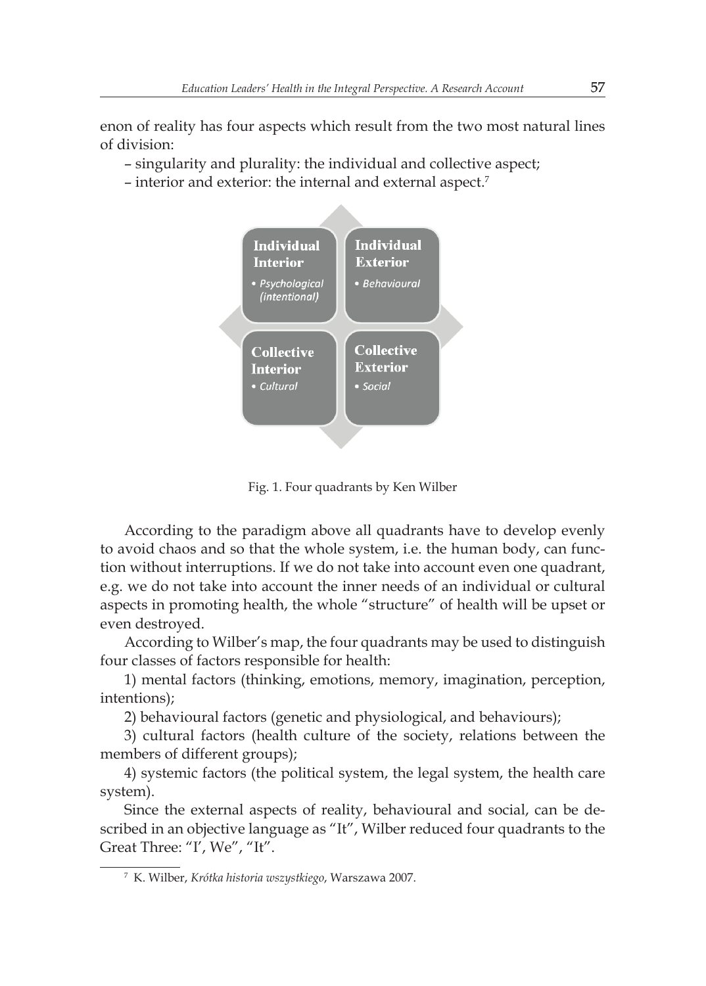enon of reality has four aspects which result from the two most natural lines of division:

- singularity and plurality: the individual and collective aspect;
- interior and exterior: the internal and external aspect.<sup>7</sup>



Fig. 1. Four quadrants by Ken Wilber

According to the paradigm above all quadrants have to develop evenly to avoid chaos and so that the whole system, i.e. the human body, can function without interruptions. If we do not take into account even one quadrant, e.g. we do not take into account the inner needs of an individual or cultural aspects in promoting health, the whole "structure" of health will be upset or even destroyed.

According to Wilber's map, the four quadrants may be used to distinguish four classes of factors responsible for health:

1) mental factors (thinking, emotions, memory, imagination, perception, intentions);

2) behavioural factors (genetic and physiological, and behaviours);

3) cultural factors (health culture of the society, relations between the members of different groups);

4) systemic factors (the political system, the legal system, the health care system).

Since the external aspects of reality, behavioural and social, can be described in an objective language as "It", Wilber reduced four quadrants to the Great Three: "I', We", "It".

<sup>7</sup> K. Wilber, *Krótka historia wszystkiego*, Warszawa 2007.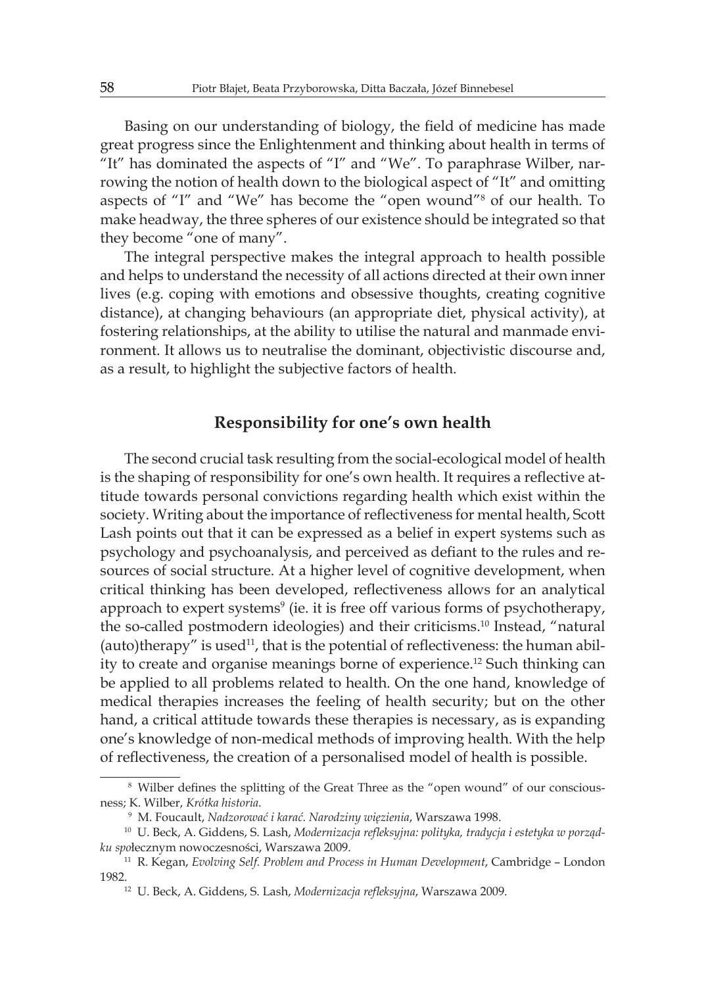Basing on our understanding of biology, the field of medicine has made great progress since the Enlightenment and thinking about health in terms of "It" has dominated the aspects of "I" and "We". To paraphrase Wilber, narrowing the notion of health down to the biological aspect of "It" and omitting aspects of "I" and "We" has become the "open wound"<sup>8</sup> of our health. To make headway, the three spheres of our existence should be integrated so that they become "one of many".

The integral perspective makes the integral approach to health possible and helps to understand the necessity of all actions directed at their own inner lives (e.g. coping with emotions and obsessive thoughts, creating cognitive distance), at changing behaviours (an appropriate diet, physical activity), at fostering relationships, at the ability to utilise the natural and manmade environment. It allows us to neutralise the dominant, objectivistic discourse and, as a result, to highlight the subjective factors of health.

#### **Responsibility for one's own health**

The second crucial task resulting from the social-ecological model of health is the shaping of responsibility for one's own health. It requires a reflective attitude towards personal convictions regarding health which exist within the society. Writing about the importance of reflectiveness for mental health, Scott Lash points out that it can be expressed as a belief in expert systems such as psychology and psychoanalysis, and perceived as defiant to the rules and resources of social structure. At a higher level of cognitive development, when critical thinking has been developed, reflectiveness allows for an analytical approach to expert systems<sup>9</sup> (ie. it is free off various forms of psychotherapy, the so-called postmodern ideologies) and their criticisms.<sup>10</sup> Instead, "natural (auto)therapy" is used $11$ , that is the potential of reflectiveness: the human ability to create and organise meanings borne of experience.<sup>12</sup> Such thinking can be applied to all problems related to health. On the one hand, knowledge of medical therapies increases the feeling of health security; but on the other hand, a critical attitude towards these therapies is necessary, as is expanding one's knowledge of non-medical methods of improving health. With the help of reflectiveness, the creation of a personalised model of health is possible.

<sup>&</sup>lt;sup>8</sup> Wilber defines the splitting of the Great Three as the "open wound" of our consciousness; K. Wilber, *Krótka historia*.

<sup>9</sup> M. Foucault, *Nadzorować i karać. Narodziny więzienia*, Warszawa 1998.

<sup>10</sup> U. Beck, A. Giddens, S. Lash, *Modernizacja refleksyjna: polityka, tradycja i estetyka w porządku spo*łecznym nowoczesności, Warszawa 2009.

<sup>&</sup>lt;sup>11</sup> R. Kegan, *Evolving Self. Problem and Process in Human Development*, Cambridge – London 1982.

<sup>12</sup> U. Beck, A. Giddens, S. Lash, *Modernizacja refleksyjna*, Warszawa 2009.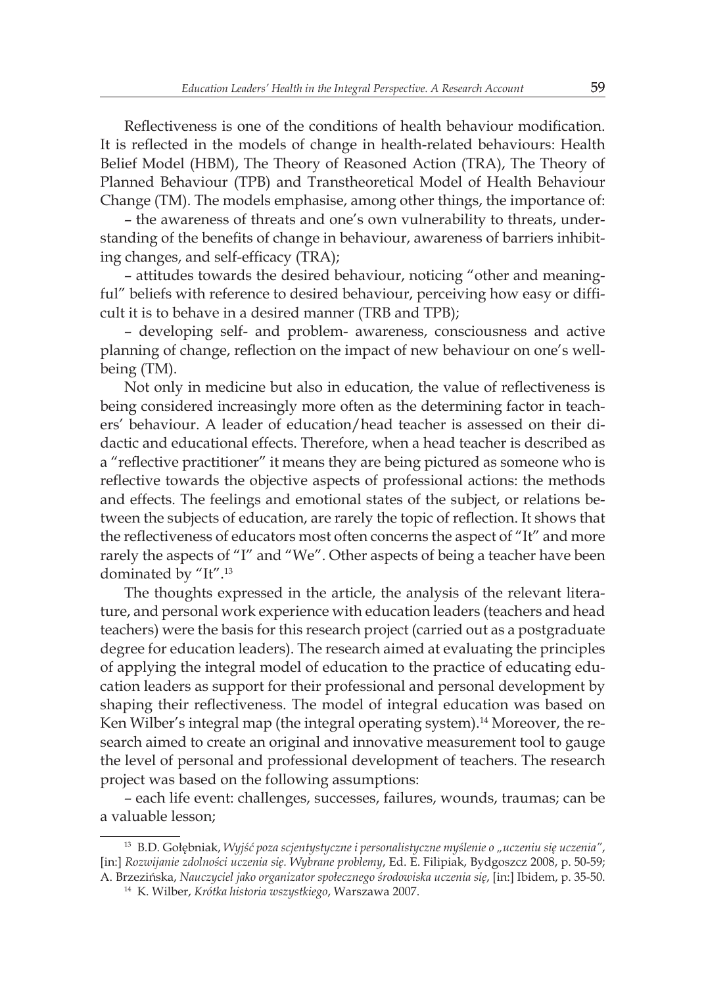Reflectiveness is one of the conditions of health behaviour modification. It is reflected in the models of change in health-related behaviours: Health Belief Model (HBM), The Theory of Reasoned Action (TRA), The Theory of Planned Behaviour (TPB) and Transtheoretical Model of Health Behaviour Change (TM). The models emphasise, among other things, the importance of:

– the awareness of threats and one's own vulnerability to threats, understanding of the benefits of change in behaviour, awareness of barriers inhibiting changes, and self-efficacy (TRA);

– attitudes towards the desired behaviour, noticing "other and meaningful" beliefs with reference to desired behaviour, perceiving how easy or difficult it is to behave in a desired manner (TRB and TPB);

– developing self- and problem- awareness, consciousness and active planning of change, reflection on the impact of new behaviour on one's wellbeing (TM).

Not only in medicine but also in education, the value of reflectiveness is being considered increasingly more often as the determining factor in teachers' behaviour. A leader of education/head teacher is assessed on their didactic and educational effects. Therefore, when a head teacher is described as a "reflective practitioner" it means they are being pictured as someone who is reflective towards the objective aspects of professional actions: the methods and effects. The feelings and emotional states of the subject, or relations between the subjects of education, are rarely the topic of reflection. It shows that the reflectiveness of educators most often concerns the aspect of "It" and more rarely the aspects of "I" and "We". Other aspects of being a teacher have been dominated by "It".<sup>13</sup>

The thoughts expressed in the article, the analysis of the relevant literature, and personal work experience with education leaders (teachers and head teachers) were the basis for this research project (carried out as a postgraduate degree for education leaders). The research aimed at evaluating the principles of applying the integral model of education to the practice of educating education leaders as support for their professional and personal development by shaping their reflectiveness. The model of integral education was based on Ken Wilber's integral map (the integral operating system).<sup>14</sup> Moreover, the research aimed to create an original and innovative measurement tool to gauge the level of personal and professional development of teachers. The research project was based on the following assumptions:

– each life event: challenges, successes, failures, wounds, traumas; can be a valuable lesson;

<sup>13</sup> B.D. Gołębniak, *Wyjść poza scjentystyczne i personalistyczne myślenie o "uczeniu się uczenia"*, [in:] *Rozwijanie zdolności uczenia się. Wybrane problemy*, Ed. E. Filipiak, Bydgoszcz 2008, p. 50-59; A. Brzezińska, *Nauczyciel jako organizator społecznego środowiska uczenia się*, [in:] Ibidem, p. 35-50.

<sup>14</sup> K. Wilber, *Krótka historia wszystkiego*, Warszawa 2007.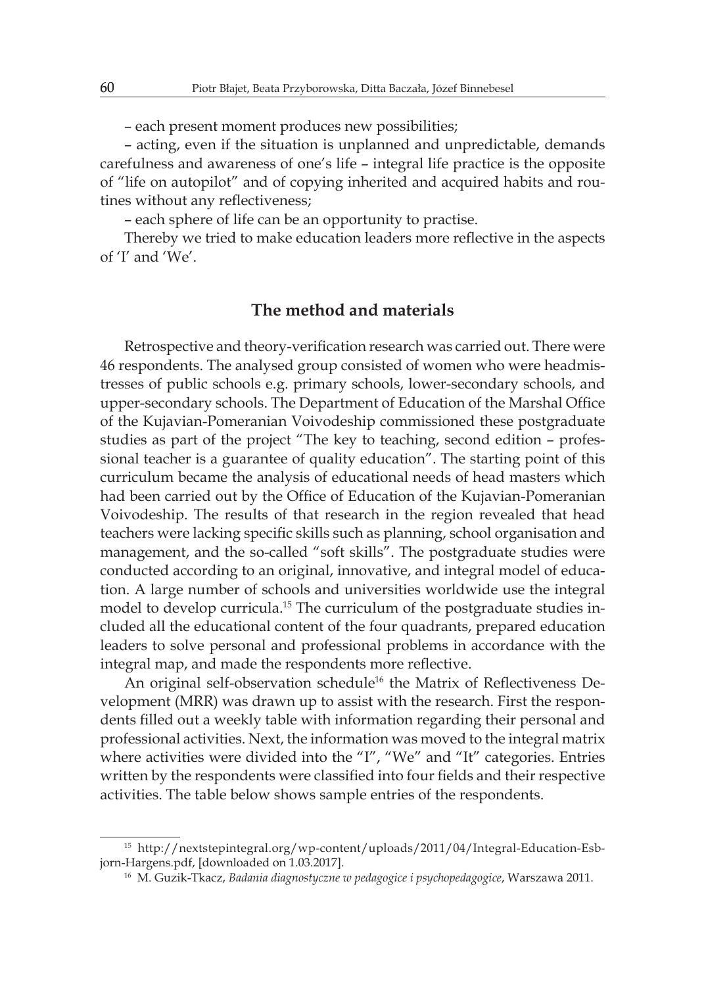– each present moment produces new possibilities;

– acting, even if the situation is unplanned and unpredictable, demands carefulness and awareness of one's life – integral life practice is the opposite of "life on autopilot" and of copying inherited and acquired habits and routines without any reflectiveness;

– each sphere of life can be an opportunity to practise.

Thereby we tried to make education leaders more reflective in the aspects of 'I' and 'We'.

### **The method and materials**

Retrospective and theory-verification research was carried out. There were 46 respondents. The analysed group consisted of women who were headmistresses of public schools e.g. primary schools, lower-secondary schools, and upper-secondary schools. The Department of Education of the Marshal Office of the Kujavian-Pomeranian Voivodeship commissioned these postgraduate studies as part of the project "The key to teaching, second edition – professional teacher is a guarantee of quality education". The starting point of this curriculum became the analysis of educational needs of head masters which had been carried out by the Office of Education of the Kujavian-Pomeranian Voivodeship. The results of that research in the region revealed that head teachers were lacking specific skills such as planning, school organisation and management, and the so-called "soft skills". The postgraduate studies were conducted according to an original, innovative, and integral model of education. A large number of schools and universities worldwide use the integral model to develop curricula.15 The curriculum of the postgraduate studies included all the educational content of the four quadrants, prepared education leaders to solve personal and professional problems in accordance with the integral map, and made the respondents more reflective.

An original self-observation schedule<sup>16</sup> the Matrix of Reflectiveness Development (MRR) was drawn up to assist with the research. First the respondents filled out a weekly table with information regarding their personal and professional activities. Next, the information was moved to the integral matrix where activities were divided into the "I", "We" and "It" categories. Entries written by the respondents were classified into four fields and their respective activities. The table below shows sample entries of the respondents.

<sup>15</sup> http://nextstepintegral.org/wp-content/uploads/2011/04/Integral-Education-Esbjorn-Hargens.pdf, [downloaded on 1.03.2017].

<sup>16</sup> M. Guzik-Tkacz, *Badania diagnostyczne w pedagogice i psychopedagogice*, Warszawa 2011.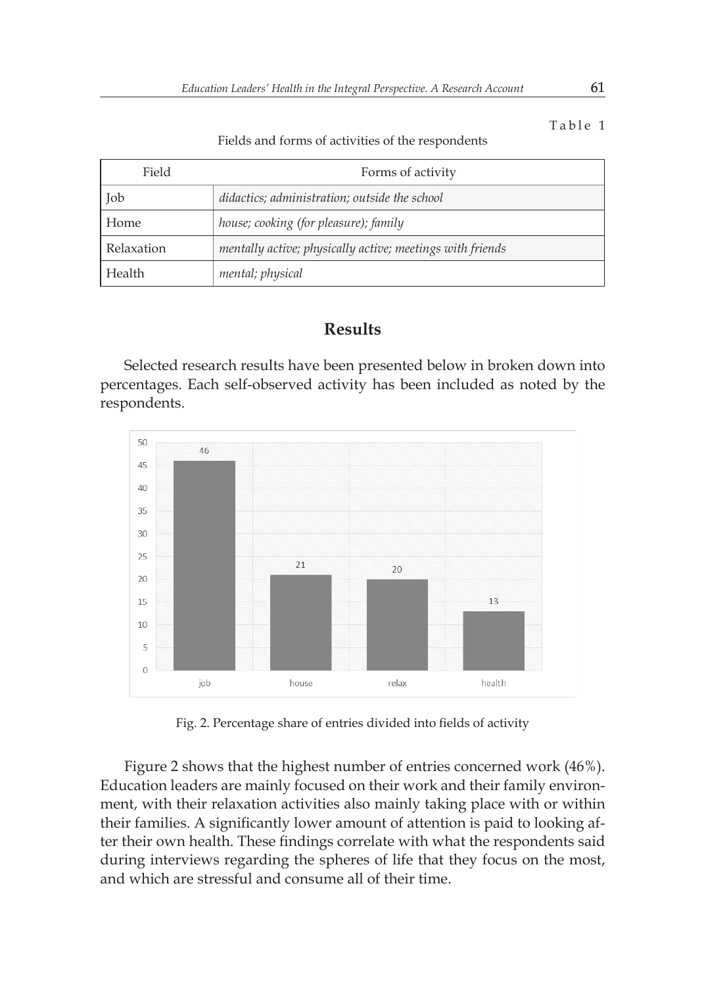Table 1

Fields and forms of activities of the respondents

| Field      | Forms of activity                                         |
|------------|-----------------------------------------------------------|
| Job        | didactics; administration; outside the school             |
| Home       | house; cooking (for pleasure); family                     |
| Relaxation | mentally active; physically active; meetings with friends |
| Health     | mental; physical                                          |

# **Results**

Selected research results have been presented below in broken down into percentages. Each self-observed activity has been included as noted by the respondents.



Fig. 2. Percentage share of entries divided into fields of activity

Figure 2 shows that the highest number of entries concerned work (46%). Education leaders are mainly focused on their work and their family environment, with their relaxation activities also mainly taking place with or within their families. A significantly lower amount of attention is paid to looking after their own health. These findings correlate with what the respondents said during interviews regarding the spheres of life that they focus on the most, and which are stressful and consume all of their time.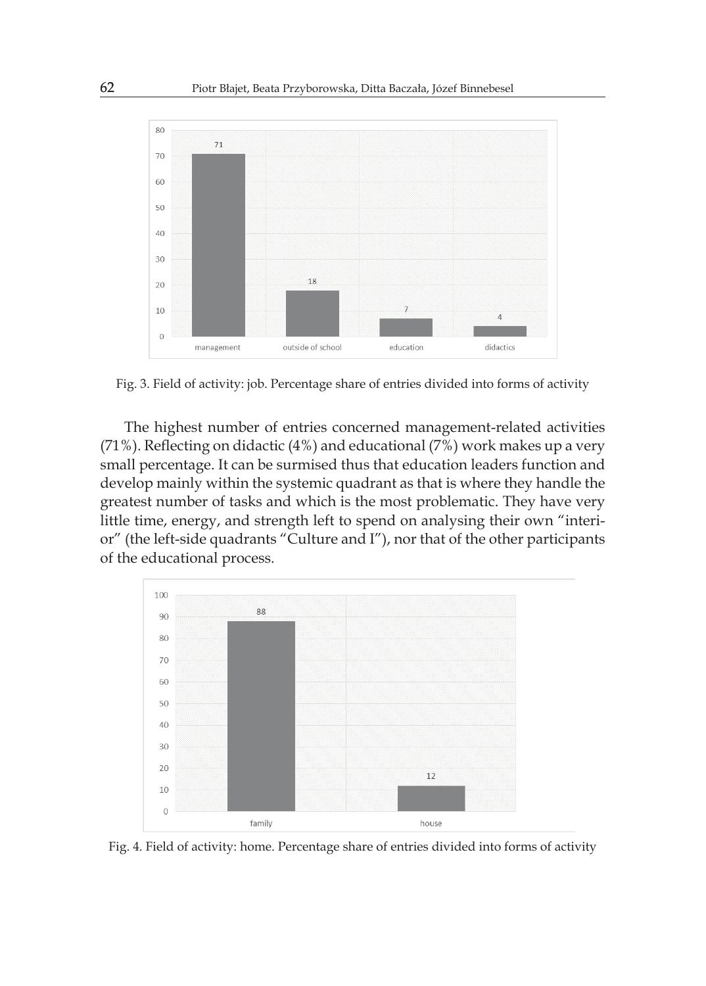

Fig. 3. Field of activity: job. Percentage share of entries divided into forms of activity

The highest number of entries concerned management-related activities (71%). Reflecting on didactic (4%) and educational (7%) work makes up a very small percentage. It can be surmised thus that education leaders function and develop mainly within the systemic quadrant as that is where they handle the greatest number of tasks and which is the most problematic. They have very little time, energy, and strength left to spend on analysing their own "interior" (the left-side quadrants "Culture and I"), nor that of the other participants of the educational process.



Fig. 4. Field of activity: home. Percentage share of entries divided into forms of activity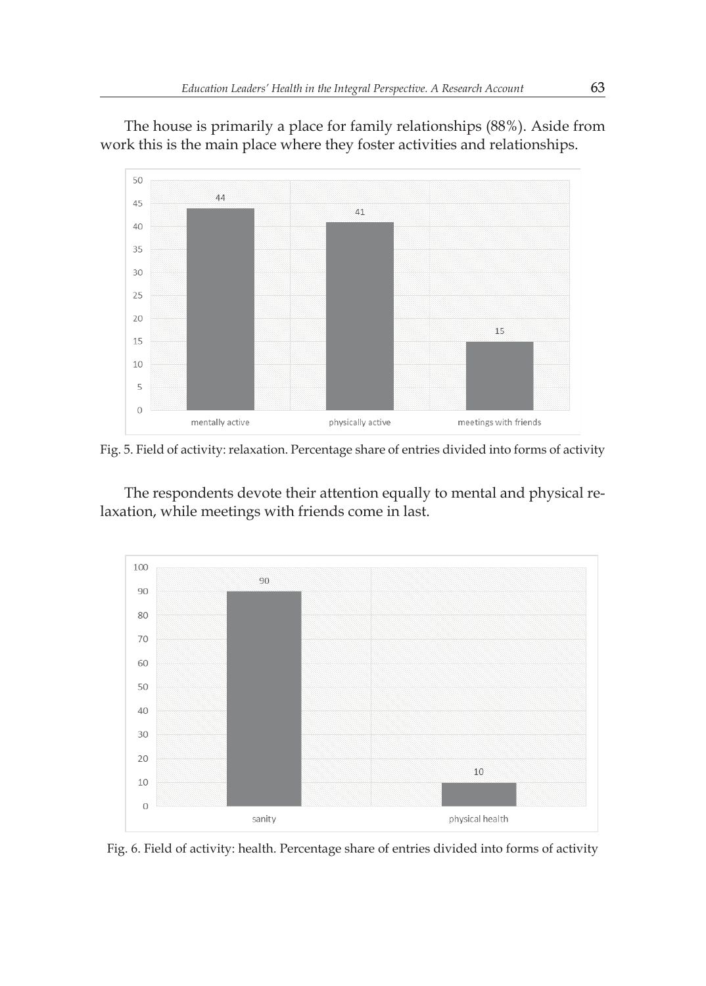The house is primarily a place for family relationships (88%). Aside from work this is the main place where they foster activities and relationships.



Fig. 5. Field of activity: relaxation. Percentage share of entries divided into forms of activity

The respondents devote their attention equally to mental and physical relaxation, while meetings with friends come in last.



Fig. 6. Field of activity: health. Percentage share of entries divided into forms of activity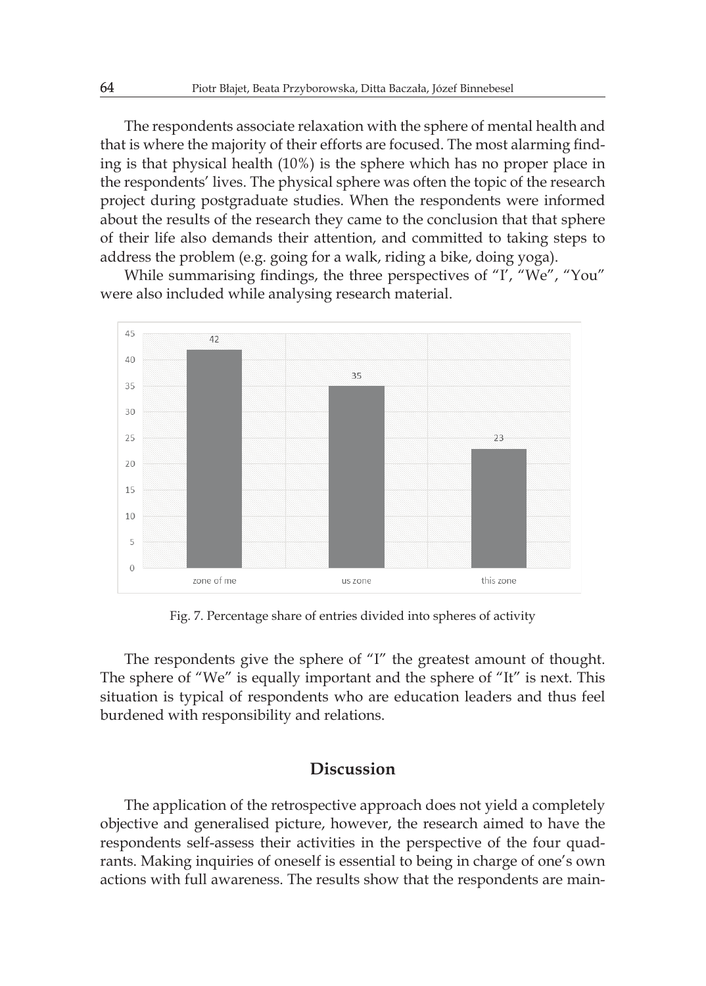The respondents associate relaxation with the sphere of mental health and that is where the majority of their efforts are focused. The most alarming finding is that physical health (10%) is the sphere which has no proper place in the respondents' lives. The physical sphere was often the topic of the research project during postgraduate studies. When the respondents were informed about the results of the research they came to the conclusion that that sphere of their life also demands their attention, and committed to taking steps to address the problem (e.g. going for a walk, riding a bike, doing yoga).

While summarising findings, the three perspectives of "I', "We", "You" were also included while analysing research material.



Fig. 7. Percentage share of entries divided into spheres of activity

The respondents give the sphere of "I" the greatest amount of thought. The sphere of "We" is equally important and the sphere of "It" is next. This situation is typical of respondents who are education leaders and thus feel burdened with responsibility and relations.

# **Discussion**

The application of the retrospective approach does not yield a completely objective and generalised picture, however, the research aimed to have the respondents self-assess their activities in the perspective of the four quadrants. Making inquiries of oneself is essential to being in charge of one's own actions with full awareness. The results show that the respondents are main